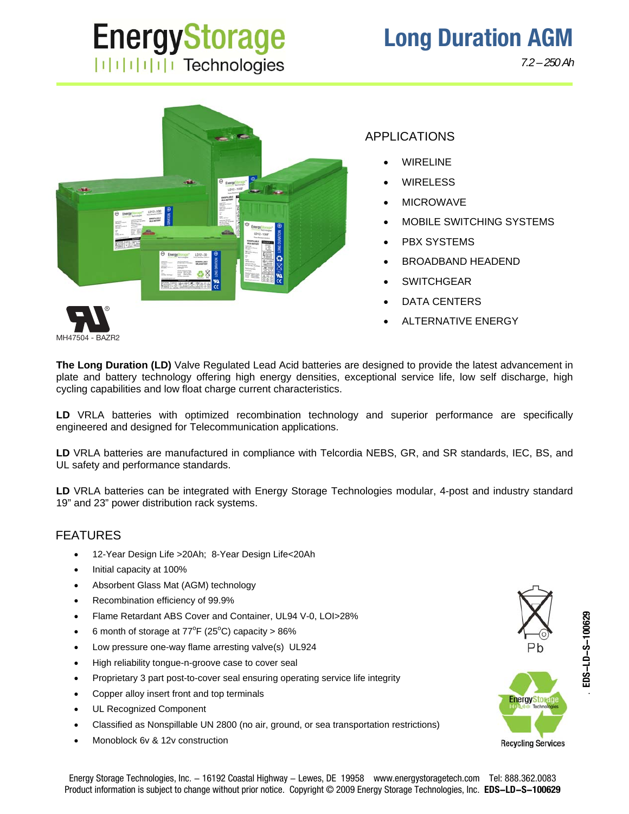# **EnergyStorage**  $||||||||||||||||$  Technologies

*7.2 – 250 Ah*



MH47504 - BAZR2

**The Long Duration (LD)** Valve Regulated Lead Acid batteries are designed to provide the latest advancement in plate and battery technology offering high energy densities, exceptional service life, low self discharge, high cycling capabilities and low float charge current characteristics.

**LD** VRLA batteries with optimized recombination technology and superior performance are specifically engineered and designed for Telecommunication applications.

**LD** VRLA batteries are manufactured in compliance with Telcordia NEBS, GR, and SR standards, IEC, BS, and UL safety and performance standards.

**LD** VRLA batteries can be integrated with Energy Storage Technologies modular, 4-post and industry standard 19" and 23" power distribution rack systems.

#### FEATURES

- 12-Year Design Life >20Ah; 8-Year Design Life<20Ah
- Initial capacity at 100%
- Absorbent Glass Mat (AGM) technology
- Recombination efficiency of 99.9%
- Flame Retardant ABS Cover and Container, UL94 V-0, LOI>28%
- 6 month of storage at  $77^{\circ}F(25^{\circ}C)$  capacity > 86%
- Low pressure one-way flame arresting valve(s) UL924
- High reliability tongue-n-groove case to cover seal
- Proprietary 3 part post-to-cover seal ensuring operating service life integrity
- Copper alloy insert front and top terminals
- UL Recognized Component
- Classified as Nonspillable UN 2800 (no air, ground, or sea transportation restrictions)
- Monoblock 6v & 12v construction

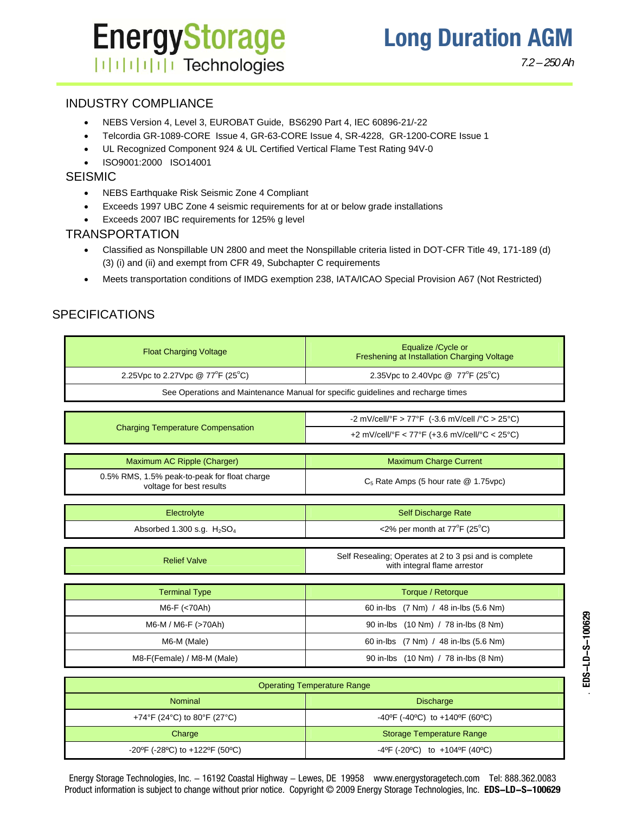## **EnergyStorage ITITITITI Technologies**

*7.2 – 250 Ah*

. **EDS-LD-S-100629**

EDS-LD-S-100629

#### INDUSTRY COMPLIANCE

- NEBS Version 4, Level 3, EUROBAT Guide, BS6290 Part 4, IEC 60896-21/-22
- Telcordia GR-1089-CORE Issue 4, GR-63-CORE Issue 4, SR-4228, GR-1200-CORE Issue 1
- UL Recognized Component 924 & UL Certified Vertical Flame Test Rating 94V-0
- ISO9001:2000 ISO14001

#### **SEISMIC**

- NEBS Earthquake Risk Seismic Zone 4 Compliant
- Exceeds 1997 UBC Zone 4 seismic requirements for at or below grade installations
- Exceeds 2007 IBC requirements for 125% g level

#### TRANSPORTATION

- Classified as Nonspillable UN 2800 and meet the Nonspillable criteria listed in DOT-CFR Title 49, 171-189 (d) (3) (i) and (ii) and exempt from CFR 49, Subchapter C requirements
- Meets transportation conditions of IMDG exemption 238, IATA/ICAO Special Provision A67 (Not Restricted)

### SPECIFICATIONS

| <b>Float Charging Voltage</b>                                                    | Equalize / Cycle or<br>Freshening at Installation Charging Voltage                     |  |  |  |  |  |  |  |  |  |  |
|----------------------------------------------------------------------------------|----------------------------------------------------------------------------------------|--|--|--|--|--|--|--|--|--|--|
| 2.25Vpc to 2.27Vpc @ 77°F (25°C)                                                 | 2.35 Vpc to 2.40 Vpc $@$ 77 <sup>°</sup> F (25 <sup>°</sup> C)                         |  |  |  |  |  |  |  |  |  |  |
| See Operations and Maintenance Manual for specific guidelines and recharge times |                                                                                        |  |  |  |  |  |  |  |  |  |  |
|                                                                                  |                                                                                        |  |  |  |  |  |  |  |  |  |  |
| <b>Charging Temperature Compensation</b>                                         | -2 mV/cell/°F > 77°F (-3.6 mV/cell /°C > 25°C)                                         |  |  |  |  |  |  |  |  |  |  |
|                                                                                  | +2 mV/cell/°F < 77°F (+3.6 mV/cell/°C < 25°C)                                          |  |  |  |  |  |  |  |  |  |  |
|                                                                                  |                                                                                        |  |  |  |  |  |  |  |  |  |  |
| Maximum AC Ripple (Charger)                                                      | <b>Maximum Charge Current</b>                                                          |  |  |  |  |  |  |  |  |  |  |
| 0.5% RMS, 1.5% peak-to-peak for float charge<br>voltage for best results         | $C_5$ Rate Amps (5 hour rate $@$ 1.75 vpc)                                             |  |  |  |  |  |  |  |  |  |  |
|                                                                                  |                                                                                        |  |  |  |  |  |  |  |  |  |  |
| Electrolyte                                                                      | <b>Self Discharge Rate</b>                                                             |  |  |  |  |  |  |  |  |  |  |
| Absorbed 1.300 s.g. $H_2SO_4$                                                    | $<$ 2% per month at 77 $\mathrm{P}$ F (25 $\mathrm{C}$ )                               |  |  |  |  |  |  |  |  |  |  |
|                                                                                  |                                                                                        |  |  |  |  |  |  |  |  |  |  |
| <b>Relief Valve</b>                                                              | Self Resealing; Operates at 2 to 3 psi and is complete<br>with integral flame arrestor |  |  |  |  |  |  |  |  |  |  |
|                                                                                  |                                                                                        |  |  |  |  |  |  |  |  |  |  |
| <b>Terminal Type</b>                                                             | Torque / Retorque                                                                      |  |  |  |  |  |  |  |  |  |  |
| M6-F (<70Ah)                                                                     | 60 in-lbs (7 Nm) / 48 in-lbs (5.6 Nm)                                                  |  |  |  |  |  |  |  |  |  |  |
| M6-M / M6-F (>70Ah)                                                              | 90 in-lbs (10 Nm) / 78 in-lbs (8 Nm)                                                   |  |  |  |  |  |  |  |  |  |  |
| M6-M (Male)                                                                      | 60 in-lbs (7 Nm) / 48 in-lbs (5.6 Nm)                                                  |  |  |  |  |  |  |  |  |  |  |
| M8-F(Female) / M8-M (Male)                                                       | 90 in-lbs (10 Nm) / 78 in-lbs (8 Nm)                                                   |  |  |  |  |  |  |  |  |  |  |
|                                                                                  |                                                                                        |  |  |  |  |  |  |  |  |  |  |

| <b>Operating Temperature Range</b> |                                                                         |  |  |  |  |  |  |  |
|------------------------------------|-------------------------------------------------------------------------|--|--|--|--|--|--|--|
| <b>Nominal</b>                     | <b>Discharge</b>                                                        |  |  |  |  |  |  |  |
| +74°F (24°C) to 80°F (27°C)        | -40°F (-40°C) to +140°F (60°C)                                          |  |  |  |  |  |  |  |
| Charge                             | Storage Temperature Range                                               |  |  |  |  |  |  |  |
| -20°F (-28°C) to +122°F (50°C)     | $-4^{\circ}$ F (-20 $^{\circ}$ C) to $+104^{\circ}$ F (40 $^{\circ}$ C) |  |  |  |  |  |  |  |

Energy Storage Technologies, Inc. - 16192 Coastal Highway - Lewes, DE 19958 www.energystoragetech.com Tel: 888.362.0083 Product information is subject to change without prior notice. Copyright © 2009 Energy Storage Technologies, Inc. **EDS-LD-S-100629**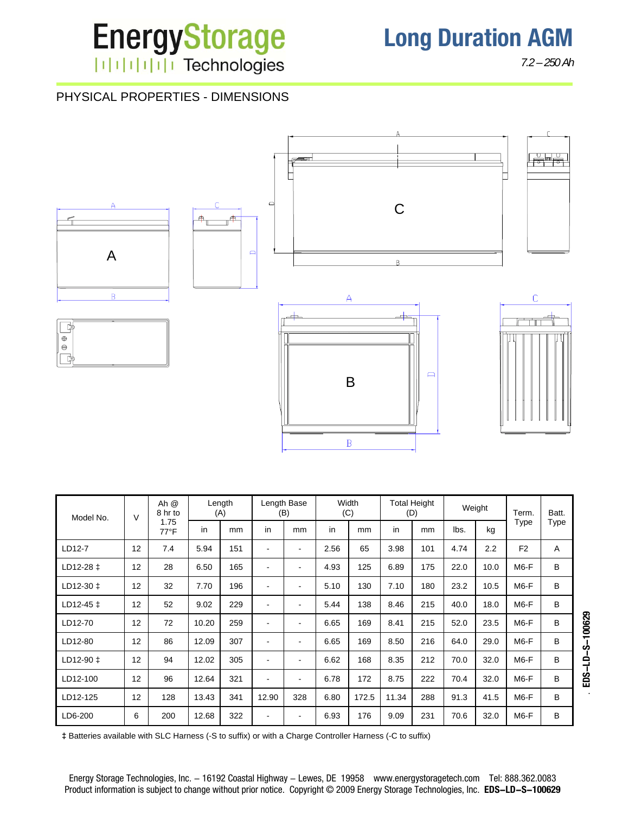

*7.2 – 250 Ah*

### PHYSICAL PROPERTIES - DIMENSIONS



| $\vee$<br>Model No. |    | Ah @<br>8 hr to        | Length<br>(A) |     | Length Base<br>(B)       |                          | Width<br>(C) |       | <b>Total Height</b><br>(D) |     | Weight |      | Term.             | Batt. |
|---------------------|----|------------------------|---------------|-----|--------------------------|--------------------------|--------------|-------|----------------------------|-----|--------|------|-------------------|-------|
|                     |    | 1.75<br>$77^{\circ}$ F | in            | mm  | in                       | mm                       | in           | mm    | in                         | mm  | lbs.   | kg   | Type              | Type  |
| LD12-7              | 12 | 7.4                    | 5.94          | 151 | $\overline{\phantom{a}}$ | $\blacksquare$           | 2.56         | 65    | 3.98                       | 101 | 4.74   | 2.2  | F <sub>2</sub>    | Α     |
| LD12-28 ‡           | 12 | 28                     | 6.50          | 165 | $\overline{\phantom{a}}$ | $\blacksquare$           | 4.93         | 125   | 6.89                       | 175 | 22.0   | 10.0 | M6-F              | B     |
| $LD12-30 \t1$       | 12 | 32                     | 7.70          | 196 | $\overline{\phantom{a}}$ | $\overline{\phantom{0}}$ | 5.10         | 130   | 7.10                       | 180 | 23.2   | 10.5 | M <sub>6</sub> -F | B     |
| $LD12-45 \pm$       | 12 | 52                     | 9.02          | 229 | $\overline{\phantom{a}}$ | ٠                        | 5.44         | 138   | 8.46                       | 215 | 40.0   | 18.0 | M6-F              | B     |
| LD12-70             | 12 | 72                     | 10.20         | 259 | $\blacksquare$           | $\blacksquare$           | 6.65         | 169   | 8.41                       | 215 | 52.0   | 23.5 | M <sub>6</sub> -F | B     |
| LD12-80             | 12 | 86                     | 12.09         | 307 | $\overline{\phantom{a}}$ | $\blacksquare$           | 6.65         | 169   | 8.50                       | 216 | 64.0   | 29.0 | M <sub>6</sub> -F | B     |
| LD12-90 ‡           | 12 | 94                     | 12.02         | 305 | $\overline{\phantom{a}}$ | $\blacksquare$           | 6.62         | 168   | 8.35                       | 212 | 70.0   | 32.0 | M <sub>6</sub> -F | B     |
| LD12-100            | 12 | 96                     | 12.64         | 321 | $\blacksquare$           |                          | 6.78         | 172   | 8.75                       | 222 | 70.4   | 32.0 | M6-F              | B     |
| LD12-125            | 12 | 128                    | 13.43         | 341 | 12.90                    | 328                      | 6.80         | 172.5 | 11.34                      | 288 | 91.3   | 41.5 | M <sub>6</sub> -F | B     |
| LD6-200             | 6  | 200                    | 12.68         | 322 | $\overline{\phantom{a}}$ |                          | 6.93         | 176   | 9.09                       | 231 | 70.6   | 32.0 | M6-F              | В     |

**‡** Batteries available with SLC Harness (-S to suffix) or with a Charge Controller Harness (-C to suffix)

Energy Storage Technologies, Inc. - 16192 Coastal Highway - Lewes, DE 19958 www.energystoragetech.com Tel: 888.362.0083 Product information is subject to change without prior notice. Copyright © 2009 Energy Storage Technologies, Inc. **EDS-LD-S-100629**  $-2 - 10 - 5 - 10629$ . **EDS-LD-S-100629**